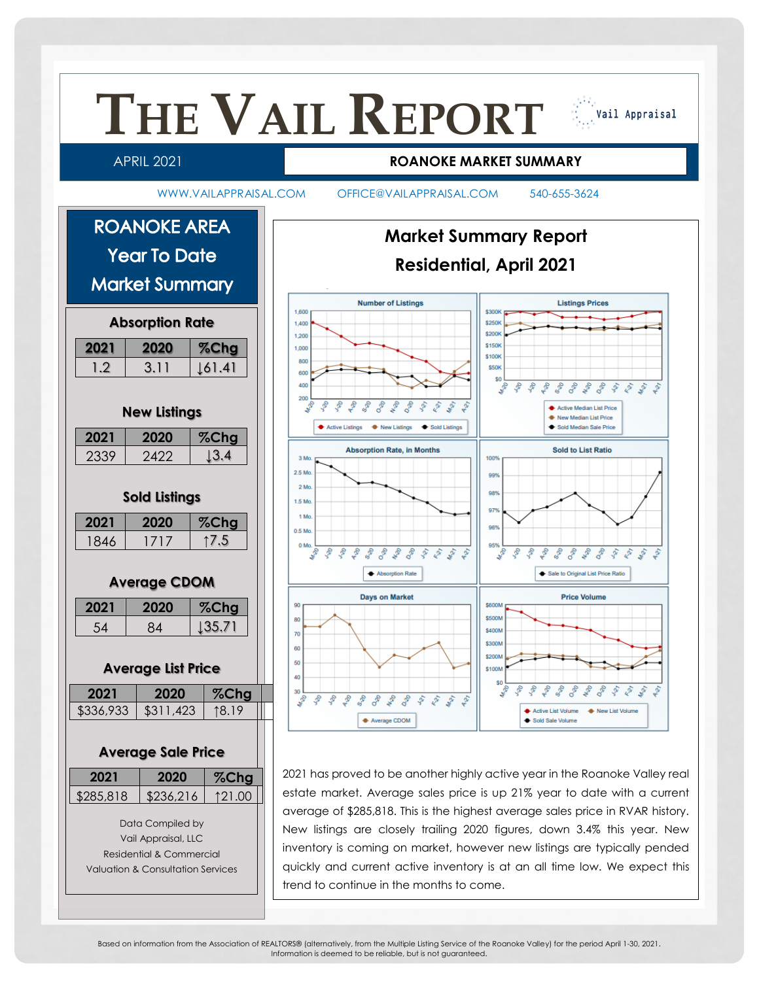

Based on information from the Association of REALTORS® (alternatively, from the Multiple Listing Service of the Roanoke Valley) for the period April 1-30, 2021. Information is deemed to be reliable, but is not guaranteed.